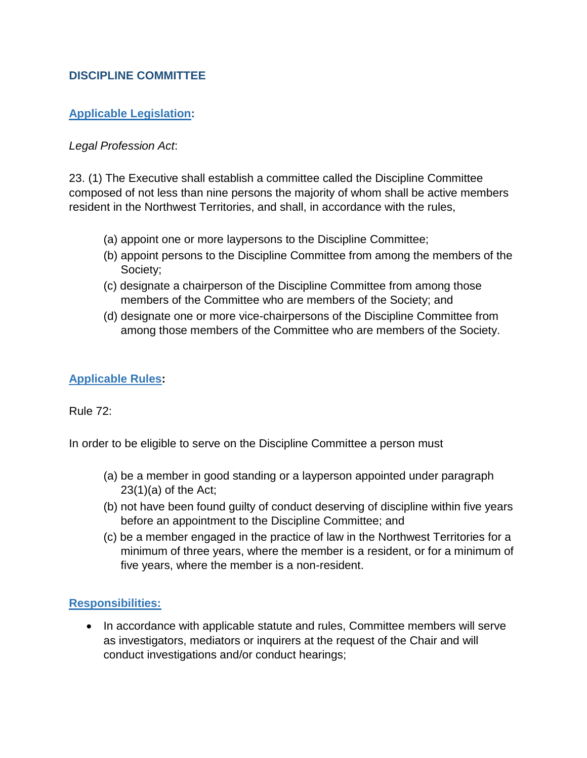## **DISCIPLINE COMMITTEE**

## **Applicable Legislation:**

### *Legal Profession Act*:

23. (1) The Executive shall establish a committee called the Discipline Committee composed of not less than nine persons the majority of whom shall be active members resident in the Northwest Territories, and shall, in accordance with the rules,

- (a) appoint one or more laypersons to the Discipline Committee;
- (b) appoint persons to the Discipline Committee from among the members of the Society;
- (c) designate a chairperson of the Discipline Committee from among those members of the Committee who are members of the Society; and
- (d) designate one or more vice-chairpersons of the Discipline Committee from among those members of the Committee who are members of the Society.

### **Applicable Rules:**

Rule 72:

In order to be eligible to serve on the Discipline Committee a person must

- (a) be a member in good standing or a layperson appointed under paragraph  $23(1)(a)$  of the Act;
- (b) not have been found guilty of conduct deserving of discipline within five years before an appointment to the Discipline Committee; and
- (c) be a member engaged in the practice of law in the Northwest Territories for a minimum of three years, where the member is a resident, or for a minimum of five years, where the member is a non-resident.

## **Responsibilities:**

• In accordance with applicable statute and rules, Committee members will serve as investigators, mediators or inquirers at the request of the Chair and will conduct investigations and/or conduct hearings;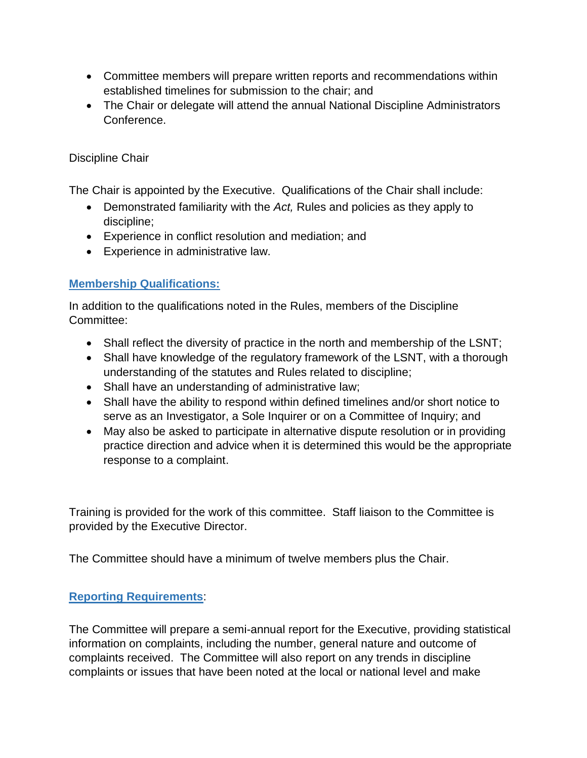- Committee members will prepare written reports and recommendations within established timelines for submission to the chair; and
- The Chair or delegate will attend the annual National Discipline Administrators Conference.

## Discipline Chair

The Chair is appointed by the Executive. Qualifications of the Chair shall include:

- Demonstrated familiarity with the *Act,* Rules and policies as they apply to discipline;
- Experience in conflict resolution and mediation; and
- Experience in administrative law.

# **Membership Qualifications:**

In addition to the qualifications noted in the Rules, members of the Discipline Committee:

- Shall reflect the diversity of practice in the north and membership of the LSNT;
- Shall have knowledge of the regulatory framework of the LSNT, with a thorough understanding of the statutes and Rules related to discipline;
- Shall have an understanding of administrative law;
- Shall have the ability to respond within defined timelines and/or short notice to serve as an Investigator, a Sole Inquirer or on a Committee of Inquiry; and
- May also be asked to participate in alternative dispute resolution or in providing practice direction and advice when it is determined this would be the appropriate response to a complaint.

Training is provided for the work of this committee. Staff liaison to the Committee is provided by the Executive Director.

The Committee should have a minimum of twelve members plus the Chair.

## **Reporting Requirements**:

The Committee will prepare a semi-annual report for the Executive, providing statistical information on complaints, including the number, general nature and outcome of complaints received. The Committee will also report on any trends in discipline complaints or issues that have been noted at the local or national level and make